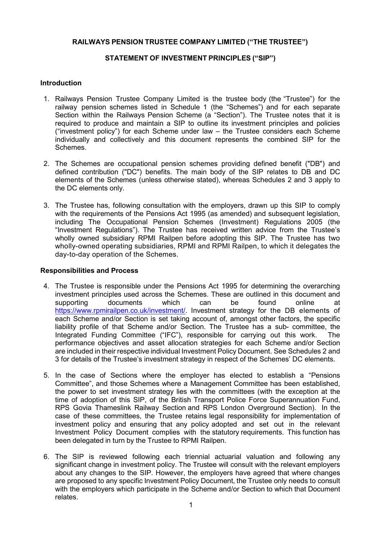## RAILWAYS PENSION TRUSTEE COMPANY LIMITED ("THE TRUSTEE")

### STATEMENT OF INVESTMENT PRINCIPLES ("SIP")

### **Introduction**

- 1. Railways Pension Trustee Company Limited is the trustee body (the "Trustee") for the railway pension schemes listed in Schedule 1 (the "Schemes") and for each separate Section within the Railways Pension Scheme (a "Section"). The Trustee notes that it is required to produce and maintain a SIP to outline its investment principles and policies ("investment policy") for each Scheme under law – the Trustee considers each Scheme individually and collectively and this document represents the combined SIP for the Schemes.
- 2. The Schemes are occupational pension schemes providing defined benefit ("DB") and defined contribution ("DC") benefits. The main body of the SIP relates to DB and DC elements of the Schemes (unless otherwise stated), whereas Schedules 2 and 3 apply to the DC elements only.
- 3. The Trustee has, following consultation with the employers, drawn up this SIP to comply with the requirements of the Pensions Act 1995 (as amended) and subsequent legislation, including The Occupational Pension Schemes (Investment) Regulations 2005 (the "Investment Regulations"). The Trustee has received written advice from the Trustee's wholly owned subsidiary RPMI Railpen before adopting this SIP. The Trustee has two wholly-owned operating subsidiaries, RPMI and RPMI Railpen, to which it delegates the day-to-day operation of the Schemes.

#### Responsibilities and Process

- 4. The Trustee is responsible under the Pensions Act 1995 for determining the overarching investment principles used across the Schemes. These are outlined in this document and supporting documents which can be found online at https://www.rpmirailpen.co.uk/investment/. Investment strategy for the DB elements of each Scheme and/or Section is set taking account of, amongst other factors, the specific liability profile of that Scheme and/or Section. The Trustee has a sub- committee, the Integrated Funding Committee ("IFC"), responsible for carrying out this work. The performance objectives and asset allocation strategies for each Scheme and/or Section are included in their respective individual Investment Policy Document. See Schedules 2 and 3 for details of the Trustee's investment strategy in respect of the Schemes' DC elements.
- 5. In the case of Sections where the employer has elected to establish a "Pensions Committee", and those Schemes where a Management Committee has been established, the power to set investment strategy lies with the committees (with the exception at the time of adoption of this SIP, of the British Transport Police Force Superannuation Fund, RPS Govia Thameslink Railway Section and RPS London Overground Section). In the case of these committees, the Trustee retains legal responsibility for implementation of investment policy and ensuring that any policy adopted and set out in the relevant Investment Policy Document complies with the statutory requirements. This function has been delegated in turn by the Trustee to RPMI Railpen.
- 6. The SIP is reviewed following each triennial actuarial valuation and following any significant change in investment policy. The Trustee will consult with the relevant employers about any changes to the SIP. However, the employers have agreed that where changes are proposed to any specific Investment Policy Document, the Trustee only needs to consult with the employers which participate in the Scheme and/or Section to which that Document relates.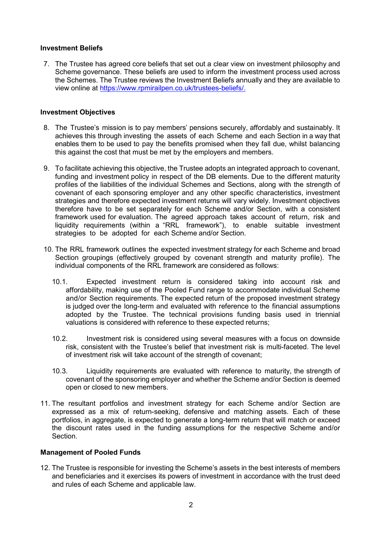#### Investment Beliefs

7. The Trustee has agreed core beliefs that set out a clear view on investment philosophy and Scheme governance. These beliefs are used to inform the investment process used across the Schemes. The Trustee reviews the Investment Beliefs annually and they are available to view online at https://www.rpmirailpen.co.uk/trustees-beliefs/.

#### Investment Objectives

- 8. The Trustee's mission is to pay members' pensions securely, affordably and sustainably. It achieves this through investing the assets of each Scheme and each Section in a way that enables them to be used to pay the benefits promised when they fall due, whilst balancing this against the cost that must be met by the employers and members.
- 9. To facilitate achieving this objective, the Trustee adopts an integrated approach to covenant, funding and investment policy in respect of the DB elements. Due to the different maturity profiles of the liabilities of the individual Schemes and Sections, along with the strength of covenant of each sponsoring employer and any other specific characteristics, investment strategies and therefore expected investment returns will vary widely. Investment objectives therefore have to be set separately for each Scheme and/or Section, with a consistent framework used for evaluation. The agreed approach takes account of return, risk and liquidity requirements (within a "RRL framework"), to enable suitable investment strategies to be adopted for each Scheme and/or Section.
- 10. The RRL framework outlines the expected investment strategy for each Scheme and broad Section groupings (effectively grouped by covenant strength and maturity profile). The individual components of the RRL framework are considered as follows:
	- 10.1. Expected investment return is considered taking into account risk and affordability, making use of the Pooled Fund range to accommodate individual Scheme and/or Section requirements. The expected return of the proposed investment strategy is judged over the long-term and evaluated with reference to the financial assumptions adopted by the Trustee. The technical provisions funding basis used in triennial valuations is considered with reference to these expected returns;
	- 10.2. Investment risk is considered using several measures with a focus on downside risk, consistent with the Trustee's belief that investment risk is multi-faceted. The level of investment risk will take account of the strength of covenant;
	- 10.3. Liquidity requirements are evaluated with reference to maturity, the strength of covenant of the sponsoring employer and whether the Scheme and/or Section is deemed open or closed to new members.
- 11. The resultant portfolios and investment strategy for each Scheme and/or Section are expressed as a mix of return-seeking, defensive and matching assets. Each of these portfolios, in aggregate, is expected to generate a long-term return that will match or exceed the discount rates used in the funding assumptions for the respective Scheme and/or Section.

### Management of Pooled Funds

12. The Trustee is responsible for investing the Scheme's assets in the best interests of members and beneficiaries and it exercises its powers of investment in accordance with the trust deed and rules of each Scheme and applicable law.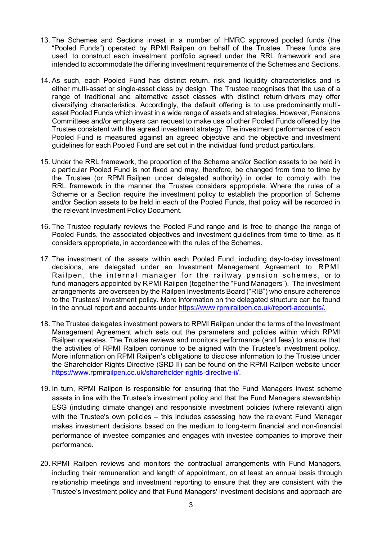- 13. The Schemes and Sections invest in a number of HMRC approved pooled funds (the "Pooled Funds") operated by RPMI Railpen on behalf of the Trustee. These funds are used to construct each investment portfolio agreed under the RRL framework and are intended to accommodate the differing investment requirements of the Schemes and Sections.
- 14. As such, each Pooled Fund has distinct return, risk and liquidity characteristics and is either multi-asset or single-asset class by design. The Trustee recognises that the use of a range of traditional and alternative asset classes with distinct return drivers may offer diversifying characteristics. Accordingly, the default offering is to use predominantly multiasset Pooled Funds which invest in a wide range of assets and strategies. However, Pensions Committees and/or employers can request to make use of other Pooled Funds offered by the Trustee consistent with the agreed investment strategy. The investment performance of each Pooled Fund is measured against an agreed objective and the objective and investment guidelines for each Pooled Fund are set out in the individual fund product particulars.
- 15. Under the RRL framework, the proportion of the Scheme and/or Section assets to be held in a particular Pooled Fund is not fixed and may, therefore, be changed from time to time by the Trustee (or RPMI Railpen under delegated authority) in order to comply with the RRL framework in the manner the Trustee considers appropriate. Where the rules of a Scheme or a Section require the investment policy to establish the proportion of Scheme and/or Section assets to be held in each of the Pooled Funds, that policy will be recorded in the relevant Investment Policy Document.
- 16. The Trustee regularly reviews the Pooled Fund range and is free to change the range of Pooled Funds, the associated objectives and investment guidelines from time to time, as it considers appropriate, in accordance with the rules of the Schemes.
- 17. The investment of the assets within each Pooled Fund, including day-to-day investment decisions, are delegated under an Investment Management Agreement to RP MI Railpen, the internal manager for the railway pension schemes, or to fund managers appointed by RPMI Railpen (together the "Fund Managers"). The investment arrangements are overseen by the Railpen Investments Board ("RIB") who ensure adherence to the Trustees' investment policy. More information on the delegated structure can be found in the annual report and accounts under https://www.rpmirailpen.co.uk/report-accounts/.
- 18. The Trustee delegates investment powers to RPMI Railpen under the terms of the Investment Management Agreement which sets out the parameters and policies within which RPMI Railpen operates. The Trustee reviews and monitors performance (and fees) to ensure that the activities of RPMI Railpen continue to be aligned with the Trustee's investment policy. More information on RPMI Railpen's obligations to disclose information to the Trustee under the Shareholder Rights Directive (SRD II) can be found on the RPMI Railpen website under https://www.rpmirailpen.co.uk/shareholder-rights-directive-ii/.
- 19. In turn, RPMI Railpen is responsible for ensuring that the Fund Managers invest scheme assets in line with the Trustee's investment policy and that the Fund Managers stewardship, ESG (including climate change) and responsible investment policies (where relevant) align with the Trustee's own policies – this includes assessing how the relevant Fund Manager makes investment decisions based on the medium to long-term financial and non-financial performance of investee companies and engages with investee companies to improve their performance.
- 20. RPMI Railpen reviews and monitors the contractual arrangements with Fund Managers, including their remuneration and length of appointment, on at least an annual basis through relationship meetings and investment reporting to ensure that they are consistent with the Trustee's investment policy and that Fund Managers' investment decisions and approach are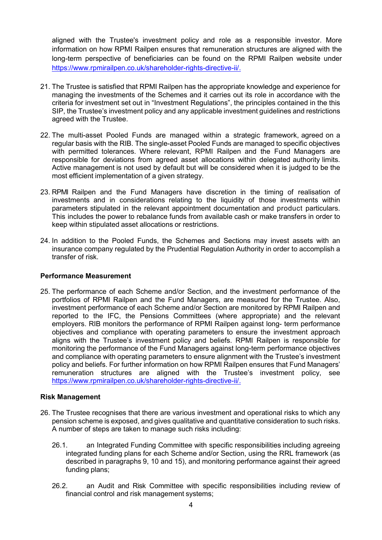aligned with the Trustee's investment policy and role as a responsible investor. More information on how RPMI Railpen ensures that remuneration structures are aligned with the long-term perspective of beneficiaries can be found on the RPMI Railpen website under https://www.rpmirailpen.co.uk/shareholder-rights-directive-ii/.

- 21. The Trustee is satisfied that RPMI Railpen has the appropriate knowledge and experience for managing the investments of the Schemes and it carries out its role in accordance with the criteria for investment set out in "Investment Regulations", the principles contained in the this SIP, the Trustee's investment policy and any applicable investment guidelines and restrictions agreed with the Trustee.
- 22. The multi-asset Pooled Funds are managed within a strategic framework, agreed on a regular basis with the RIB. The single-asset Pooled Funds are managed to specific objectives with permitted tolerances. Where relevant. RPMI Railpen and the Fund Managers are responsible for deviations from agreed asset allocations within delegated authority limits. Active management is not used by default but will be considered when it is judged to be the most efficient implementation of a given strategy.
- 23. RPMI Railpen and the Fund Managers have discretion in the timing of realisation of investments and in considerations relating to the liquidity of those investments within parameters stipulated in the relevant appointment documentation and product particulars. This includes the power to rebalance funds from available cash or make transfers in order to keep within stipulated asset allocations or restrictions.
- 24. In addition to the Pooled Funds, the Schemes and Sections may invest assets with an insurance company regulated by the Prudential Regulation Authority in order to accomplish a transfer of risk.

### Performance Measurement

25. The performance of each Scheme and/or Section, and the investment performance of the portfolios of RPMI Railpen and the Fund Managers, are measured for the Trustee. Also, investment performance of each Scheme and/or Section are monitored by RPMI Railpen and reported to the IFC, the Pensions Committees (where appropriate) and the relevant employers. RIB monitors the performance of RPMI Railpen against long- term performance objectives and compliance with operating parameters to ensure the investment approach aligns with the Trustee's investment policy and beliefs. RPMI Railpen is responsible for monitoring the performance of the Fund Managers against long-term performance objectives and compliance with operating parameters to ensure alignment with the Trustee's investment policy and beliefs. For further information on how RPMI Railpen ensures that Fund Managers' remuneration structures are aligned with the Trustee's investment policy, see https://www.rpmirailpen.co.uk/shareholder-rights-directive-ii/.

### Risk Management

- 26. The Trustee recognises that there are various investment and operational risks to which any pension scheme is exposed, and gives qualitative and quantitative consideration to such risks. A number of steps are taken to manage such risks including:
	- 26.1. an Integrated Funding Committee with specific responsibilities including agreeing integrated funding plans for each Scheme and/or Section, using the RRL framework (as described in paragraphs 9, 10 and 15), and monitoring performance against their agreed funding plans;
	- 26.2. an Audit and Risk Committee with specific responsibilities including review of financial control and risk management systems;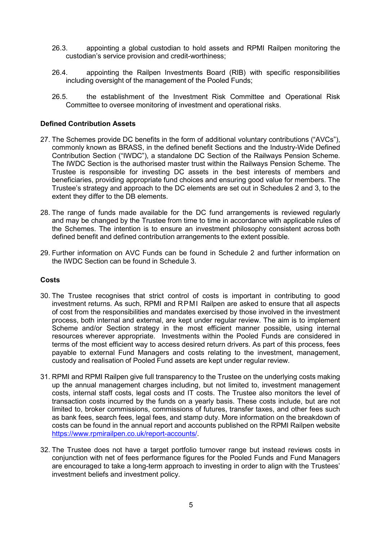- 26.3. appointing a global custodian to hold assets and RPMI Railpen monitoring the custodian's service provision and credit-worthiness;
- 26.4. appointing the Railpen Investments Board (RIB) with specific responsibilities including oversight of the management of the Pooled Funds;
- 26.5. the establishment of the Investment Risk Committee and Operational Risk Committee to oversee monitoring of investment and operational risks.

#### Defined Contribution Assets

- 27. The Schemes provide DC benefits in the form of additional voluntary contributions ("AVCs"), commonly known as BRASS, in the defined benefit Sections and the Industry-Wide Defined Contribution Section ("IWDC"), a standalone DC Section of the Railways Pension Scheme. The IWDC Section is the authorised master trust within the Railways Pension Scheme. The Trustee is responsible for investing DC assets in the best interests of members and beneficiaries, providing appropriate fund choices and ensuring good value for members. The Trustee's strategy and approach to the DC elements are set out in Schedules 2 and 3, to the extent they differ to the DB elements.
- 28. The range of funds made available for the DC fund arrangements is reviewed regularly and may be changed by the Trustee from time to time in accordance with applicable rules of the Schemes. The intention is to ensure an investment philosophy consistent across both defined benefit and defined contribution arrangements to the extent possible.
- 29. Further information on AVC Funds can be found in Schedule 2 and further information on the IWDC Section can be found in Schedule 3.

### Costs

- 30. The Trustee recognises that strict control of costs is important in contributing to good investment returns. As such, RPMI and RPMI Railpen are asked to ensure that all aspects of cost from the responsibilities and mandates exercised by those involved in the investment process, both internal and external, are kept under regular review. The aim is to implement Scheme and/or Section strategy in the most efficient manner possible, using internal resources wherever appropriate. Investments within the Pooled Funds are considered in terms of the most efficient way to access desired return drivers. As part of this process, fees payable to external Fund Managers and costs relating to the investment, management, custody and realisation of Pooled Fund assets are kept under regular review.
- 31. RPMI and RPMI Railpen give full transparency to the Trustee on the underlying costs making up the annual management charges including, but not limited to, investment management costs, internal staff costs, legal costs and IT costs. The Trustee also monitors the level of transaction costs incurred by the funds on a yearly basis. These costs include, but are not limited to, broker commissions, commissions of futures, transfer taxes, and other fees such as bank fees, search fees, legal fees, and stamp duty. More information on the breakdown of costs can be found in the annual report and accounts published on the RPMI Railpen website https://www.rpmirailpen.co.uk/report-accounts/.
- 32. The Trustee does not have a target portfolio turnover range but instead reviews costs in conjunction with net of fees performance figures for the Pooled Funds and Fund Managers are encouraged to take a long-term approach to investing in order to align with the Trustees' investment beliefs and investment policy.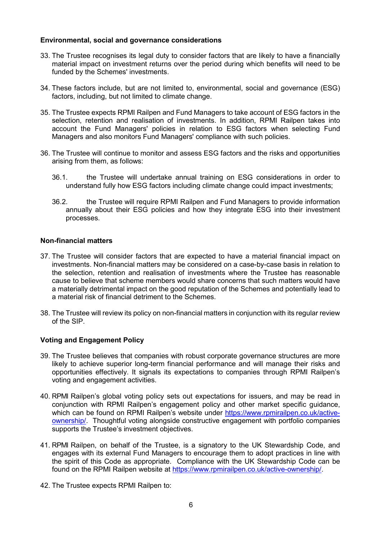### Environmental, social and governance considerations

- 33. The Trustee recognises its legal duty to consider factors that are likely to have a financially material impact on investment returns over the period during which benefits will need to be funded by the Schemes' investments.
- 34. These factors include, but are not limited to, environmental, social and governance (ESG) factors, including, but not limited to climate change.
- 35. The Trustee expects RPMI Railpen and Fund Managers to take account of ESG factors in the selection, retention and realisation of investments. In addition, RPMI Railpen takes into account the Fund Managers' policies in relation to ESG factors when selecting Fund Managers and also monitors Fund Managers' compliance with such policies.
- 36. The Trustee will continue to monitor and assess ESG factors and the risks and opportunities arising from them, as follows:
	- 36.1. the Trustee will undertake annual training on ESG considerations in order to understand fully how ESG factors including climate change could impact investments;
	- 36.2. the Trustee will require RPMI Railpen and Fund Managers to provide information annually about their ESG policies and how they integrate ESG into their investment processes.

#### Non-financial matters

- 37. The Trustee will consider factors that are expected to have a material financial impact on investments. Non-financial matters may be considered on a case-by-case basis in relation to the selection, retention and realisation of investments where the Trustee has reasonable cause to believe that scheme members would share concerns that such matters would have a materially detrimental impact on the good reputation of the Schemes and potentially lead to a material risk of financial detriment to the Schemes.
- 38. The Trustee will review its policy on non-financial matters in conjunction with its regular review of the SIP.

### Voting and Engagement Policy

- 39. The Trustee believes that companies with robust corporate governance structures are more likely to achieve superior long-term financial performance and will manage their risks and opportunities effectively. It signals its expectations to companies through RPMI Railpen's voting and engagement activities.
- 40. RPMI Railpen's global voting policy sets out expectations for issuers, and may be read in conjunction with RPMI Railpen's engagement policy and other market specific guidance, which can be found on RPMI Railpen's website under https://www.rpmirailpen.co.uk/activeownership/. Thoughtful voting alongside constructive engagement with portfolio companies supports the Trustee's investment objectives.
- 41. RPMI Railpen, on behalf of the Trustee, is a signatory to the UK Stewardship Code, and engages with its external Fund Managers to encourage them to adopt practices in line with the spirit of this Code as appropriate. Compliance with the UK Stewardship Code can be found on the RPMI Railpen website at https://www.rpmirailpen.co.uk/active-ownership/.
- 42. The Trustee expects RPMI Railpen to: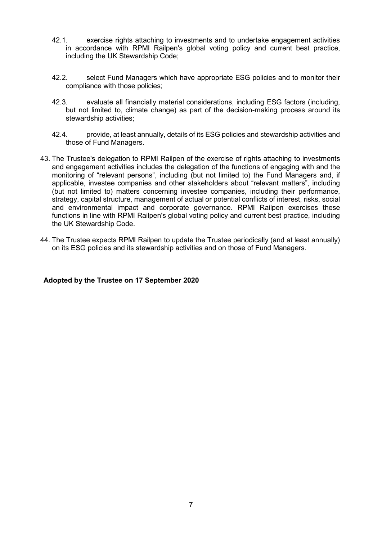- 42.1. exercise rights attaching to investments and to undertake engagement activities in accordance with RPMI Railpen's global voting policy and current best practice, including the UK Stewardship Code;
- 42.2. select Fund Managers which have appropriate ESG policies and to monitor their compliance with those policies;
- 42.3. evaluate all financially material considerations, including ESG factors (including, but not limited to, climate change) as part of the decision-making process around its stewardship activities;
- 42.4. provide, at least annually, details of its ESG policies and stewardship activities and those of Fund Managers.
- 43. The Trustee's delegation to RPMI Railpen of the exercise of rights attaching to investments and engagement activities includes the delegation of the functions of engaging with and the monitoring of "relevant persons", including (but not limited to) the Fund Managers and, if applicable, investee companies and other stakeholders about "relevant matters", including (but not limited to) matters concerning investee companies, including their performance, strategy, capital structure, management of actual or potential conflicts of interest, risks, social and environmental impact and corporate governance. RPMI Railpen exercises these functions in line with RPMI Railpen's global voting policy and current best practice, including the UK Stewardship Code.
- 44. The Trustee expects RPMI Railpen to update the Trustee periodically (and at least annually) on its ESG policies and its stewardship activities and on those of Fund Managers.

### Adopted by the Trustee on 17 September 2020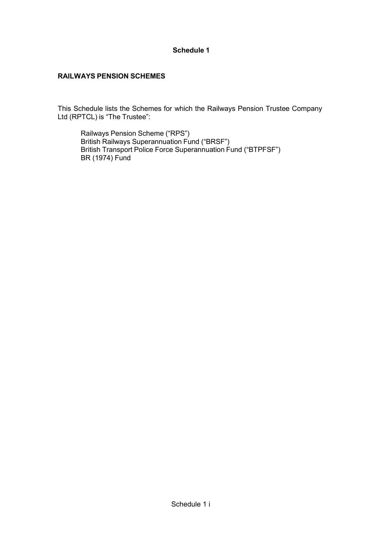# Schedule 1

# RAILWAYS PENSION SCHEMES

This Schedule lists the Schemes for which the Railways Pension Trustee Company Ltd (RPTCL) is "The Trustee":

Railways Pension Scheme ("RPS") British Railways Superannuation Fund ("BRSF") British Transport Police Force Superannuation Fund ("BTPFSF") BR (1974) Fund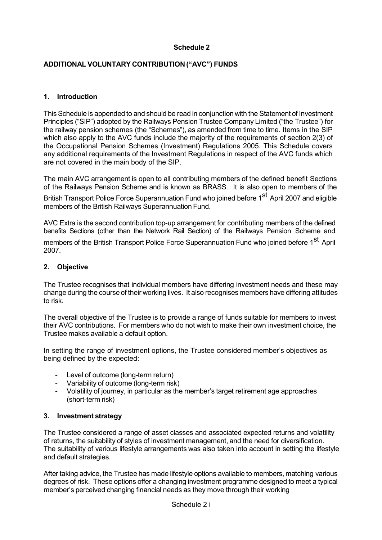# Schedule 2

# ADDITIONAL VOLUNTARY CONTRIBUTION ("AVC") FUNDS

## 1. Introduction

This Schedule is appended to and should be read in conjunction with the Statement of Investment Principles ("SIP") adopted by the Railways Pension Trustee Company Limited ("the Trustee") for the railway pension schemes (the "Schemes"), as amended from time to time. Items in the SIP which also apply to the AVC funds include the majority of the requirements of section 2(3) of the Occupational Pension Schemes (Investment) Regulations 2005. This Schedule covers any additional requirements of the Investment Regulations in respect of the AVC funds which are not covered in the main body of the SIP.

The main AVC arrangement is open to all contributing members of the defined benefit Sections of the Railways Pension Scheme and is known as BRASS. It is also open to members of the

British Transport Police Force Superannuation Fund who joined before 1<sup>st</sup> April 2007 and eligible members of the British Railways Superannuation Fund.

AVC Extra is the second contribution top-up arrangement for contributing members of the defined benefits Sections (other than the Network Rail Section) of the Railways Pension Scheme and

members of the British Transport Police Force Superannuation Fund who ioined before 1<sup>st</sup> April 2007.

#### 2. Objective

The Trustee recognises that individual members have differing investment needs and these may change during the course of their working lives. It also recognises members have differing attitudes to risk.

The overall objective of the Trustee is to provide a range of funds suitable for members to invest their AVC contributions. For members who do not wish to make their own investment choice, the Trustee makes available a default option.

In setting the range of investment options, the Trustee considered member's objectives as being defined by the expected:

- Level of outcome (long-term return)
- Variability of outcome (long-term risk)
- Volatility of journey, in particular as the member's target retirement age approaches (short-term risk)

### 3. Investment strategy

The Trustee considered a range of asset classes and associated expected returns and volatility of returns, the suitability of styles of investment management, and the need for diversification. The suitability of various lifestyle arrangements was also taken into account in setting the lifestyle and default strategies.

After taking advice, the Trustee has made lifestyle options available to members, matching various degrees of risk. These options offer a changing investment programme designed to meet a typical member's perceived changing financial needs as they move through their working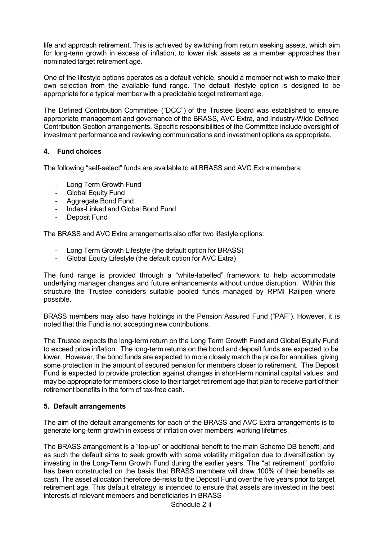life and approach retirement. This is achieved by switching from return seeking assets, which aim for long-term growth in excess of inflation, to lower risk assets as a member approaches their nominated target retirement age.

One of the lifestyle options operates as a default vehicle, should a member not wish to make their own selection from the available fund range. The default lifestyle option is designed to be appropriate for a typical member with a predictable target retirement age.

The Defined Contribution Committee ("DCC") of the Trustee Board was established to ensure appropriate management and governance of the BRASS, AVC Extra, and Industry-Wide Defined Contribution Section arrangements. Specific responsibilities of the Committee include oversight of investment performance and reviewing communications and investment options as appropriate.

# 4. Fund choices

The following "self-select" funds are available to all BRASS and AVC Extra members:

- Long Term Growth Fund
- Global Equity Fund
- Aggregate Bond Fund
- Index-Linked and Global Bond Fund
- Deposit Fund

The BRASS and AVC Extra arrangements also offer two lifestyle options:

- Long Term Growth Lifestyle (the default option for BRASS)
- Global Equity Lifestyle (the default option for AVC Extra)

The fund range is provided through a "white-labelled" framework to help accommodate underlying manager changes and future enhancements without undue disruption. Within this structure the Trustee considers suitable pooled funds managed by RPMI Railpen where possible.

BRASS members may also have holdings in the Pension Assured Fund ("PAF"). However, it is noted that this Fund is not accepting new contributions.

The Trustee expects the long-term return on the Long Term Growth Fund and Global Equity Fund to exceed price inflation. The long-term returns on the bond and deposit funds are expected to be lower. However, the bond funds are expected to more closely match the price for annuities, giving some protection in the amount of secured pension for members closer to retirement. The Deposit Fund is expected to provide protection against changes in short-term nominal capital values, and may be appropriate for members close to their target retirement age that plan to receive part of their retirement benefits in the form of tax-free cash.

### 5. Default arrangements

The aim of the default arrangements for each of the BRASS and AVC Extra arrangements is to generate long-term growth in excess of inflation over members' working lifetimes.

The BRASS arrangement is a "top-up" or additional benefit to the main Scheme DB benefit, and as such the default aims to seek growth with some volatility mitigation due to diversification by investing in the Long-Term Growth Fund during the earlier years. The "at retirement" portfolio has been constructed on the basis that BRASS members will draw 100% of their benefits as cash. The asset allocation therefore de-risks to the Deposit Fund over the five years prior to target retirement age. This default strategy is intended to ensure that assets are invested in the best interests of relevant members and beneficiaries in BRASS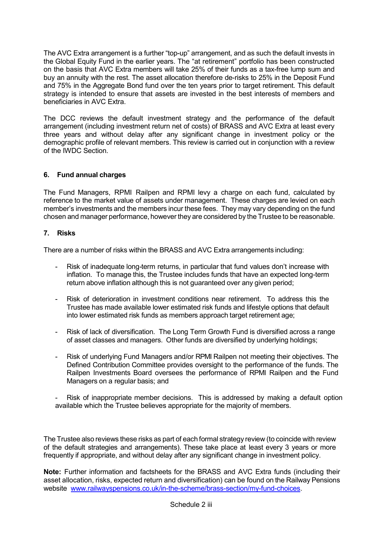The AVC Extra arrangement is a further "top-up" arrangement, and as such the default invests in the Global Equity Fund in the earlier years. The "at retirement" portfolio has been constructed on the basis that AVC Extra members will take 25% of their funds as a tax-free lump sum and buy an annuity with the rest. The asset allocation therefore de-risks to 25% in the Deposit Fund and 75% in the Aggregate Bond fund over the ten years prior to target retirement. This default strategy is intended to ensure that assets are invested in the best interests of members and beneficiaries in AVC Extra.

The DCC reviews the default investment strategy and the performance of the default arrangement (including investment return net of costs) of BRASS and AVC Extra at least every three years and without delay after any significant change in investment policy or the demographic profile of relevant members. This review is carried out in conjunction with a review of the IWDC Section.

# 6. Fund annual charges

The Fund Managers, RPMI Railpen and RPMI levy a charge on each fund, calculated by reference to the market value of assets under management. These charges are levied on each member's investments and the members incur these fees. They may vary depending on the fund chosen and manager performance, however they are considered by the Trustee to be reasonable.

# 7. Risks

There are a number of risks within the BRASS and AVC Extra arrangements including:

- Risk of inadequate long-term returns, in particular that fund values don't increase with inflation. To manage this, the Trustee includes funds that have an expected long-term return above inflation although this is not guaranteed over any given period;
- Risk of deterioration in investment conditions near retirement. To address this the Trustee has made available lower estimated risk funds and lifestyle options that default into lower estimated risk funds as members approach target retirement age;
- Risk of lack of diversification. The Long Term Growth Fund is diversified across a range of asset classes and managers. Other funds are diversified by underlying holdings;
- Risk of underlying Fund Managers and/or RPMI Railpen not meeting their objectives. The Defined Contribution Committee provides oversight to the performance of the funds. The Railpen Investments Board oversees the performance of RPMI Railpen and the Fund Managers on a regular basis; and

Risk of inappropriate member decisions. This is addressed by making a default option available which the Trustee believes appropriate for the majority of members.

The Trustee also reviews these risks as part of each formal strategy review (to coincide with review of the default strategies and arrangements). These take place at least every 3 years or more frequently if appropriate, and without delay after any significant change in investment policy.

Note: Further information and factsheets for the BRASS and AVC Extra funds (including their asset allocation, risks, expected return and diversification) can be found on the Railway Pensions website www.railwayspensions.co.uk/in-the-scheme/brass-section/my-fund-choices.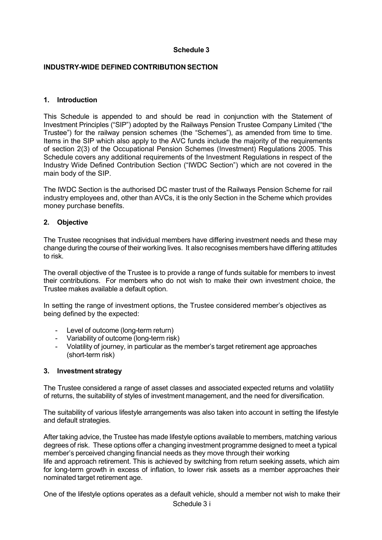### Schedule 3

#### INDUSTRY-WIDE DEFINED CONTRIBUTION SECTION

#### 1. Introduction

This Schedule is appended to and should be read in conjunction with the Statement of Investment Principles ("SIP") adopted by the Railways Pension Trustee Company Limited ("the Trustee") for the railway pension schemes (the "Schemes"), as amended from time to time. Items in the SIP which also apply to the AVC funds include the majority of the requirements of section 2(3) of the Occupational Pension Schemes (Investment) Regulations 2005. This Schedule covers any additional requirements of the Investment Regulations in respect of the Industry Wide Defined Contribution Section ("IWDC Section") which are not covered in the main body of the SIP.

The IWDC Section is the authorised DC master trust of the Railways Pension Scheme for rail industry employees and, other than AVCs, it is the only Section in the Scheme which provides money purchase benefits.

#### 2. Objective

The Trustee recognises that individual members have differing investment needs and these may change during the course of their working lives. It also recognises members have differing attitudes to risk.

The overall objective of the Trustee is to provide a range of funds suitable for members to invest their contributions. For members who do not wish to make their own investment choice, the Trustee makes available a default option.

In setting the range of investment options, the Trustee considered member's objectives as being defined by the expected:

- Level of outcome (long-term return)
- Variability of outcome (long-term risk)
- Volatility of journey, in particular as the member's target retirement age approaches (short-term risk)

#### 3. Investment strategy

The Trustee considered a range of asset classes and associated expected returns and volatility of returns, the suitability of styles of investment management, and the need for diversification.

The suitability of various lifestyle arrangements was also taken into account in setting the lifestyle and default strategies.

After taking advice, the Trustee has made lifestyle options available to members, matching various degrees of risk. These options offer a changing investment programme designed to meet a typical member's perceived changing financial needs as they move through their working life and approach retirement. This is achieved by switching from return seeking assets, which aim for long-term growth in excess of inflation, to lower risk assets as a member approaches their nominated target retirement age.

Schedule 3 i One of the lifestyle options operates as a default vehicle, should a member not wish to make their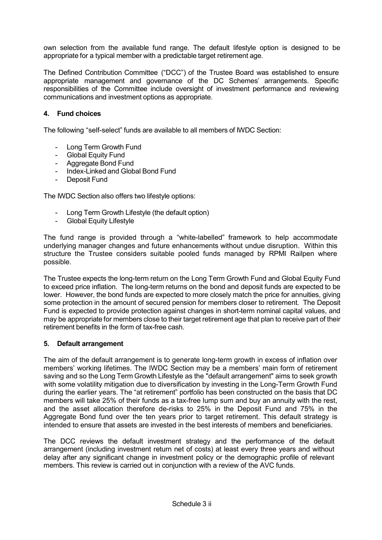own selection from the available fund range. The default lifestyle option is designed to be appropriate for a typical member with a predictable target retirement age.

The Defined Contribution Committee ("DCC") of the Trustee Board was established to ensure appropriate management and governance of the DC Schemes' arrangements. Specific responsibilities of the Committee include oversight of investment performance and reviewing communications and investment options as appropriate.

# 4. Fund choices

The following "self-select" funds are available to all members of IWDC Section:

- Long Term Growth Fund
- Global Equity Fund
- Aggregate Bond Fund
- Index-Linked and Global Bond Fund
- Deposit Fund

The IWDC Section also offers two lifestyle options:

- Long Term Growth Lifestyle (the default option)
- **Global Equity Lifestyle**

The fund range is provided through a "white-labelled" framework to help accommodate underlying manager changes and future enhancements without undue disruption. Within this structure the Trustee considers suitable pooled funds managed by RPMI Railpen where possible.

The Trustee expects the long-term return on the Long Term Growth Fund and Global Equity Fund to exceed price inflation. The long-term returns on the bond and deposit funds are expected to be lower. However, the bond funds are expected to more closely match the price for annuities, giving some protection in the amount of secured pension for members closer to retirement. The Deposit Fund is expected to provide protection against changes in short-term nominal capital values, and may be appropriate for members close to their target retirement age that plan to receive part of their retirement benefits in the form of tax-free cash.

### 5. Default arrangement

The aim of the default arrangement is to generate long-term growth in excess of inflation over members' working lifetimes. The IWDC Section may be a members' main form of retirement saving and so the Long Term Growth Lifestyle as the "default arrangement" aims to seek growth with some volatility mitigation due to diversification by investing in the Long-Term Growth Fund during the earlier years. The "at retirement" portfolio has been constructed on the basis that DC members will take 25% of their funds as a tax-free lump sum and buy an annuity with the rest, and the asset allocation therefore de-risks to 25% in the Deposit Fund and 75% in the Aggregate Bond fund over the ten years prior to target retirement. This default strategy is intended to ensure that assets are invested in the best interests of members and beneficiaries.

The DCC reviews the default investment strategy and the performance of the default arrangement (including investment return net of costs) at least every three years and without delay after any significant change in investment policy or the demographic profile of relevant members. This review is carried out in conjunction with a review of the AVC funds.